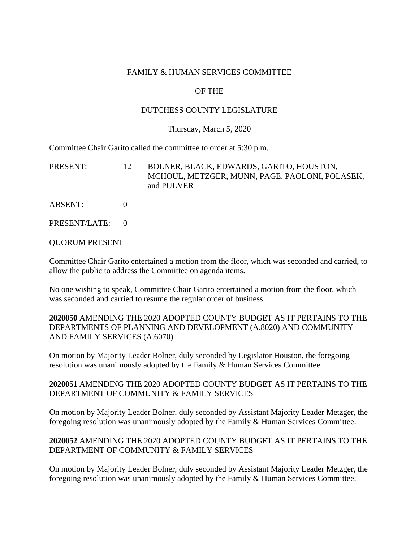#### FAMILY & HUMAN SERVICES COMMITTEE

### OF THE

#### DUTCHESS COUNTY LEGISLATURE

#### Thursday, March 5, 2020

Committee Chair Garito called the committee to order at 5:30 p.m.

| PRESENT: | BOLNER, BLACK, EDWARDS, GARITO, HOUSTON,       |
|----------|------------------------------------------------|
|          | MCHOUL, METZGER, MUNN, PAGE, PAOLONI, POLASEK, |
|          | and PULVER                                     |

- ABSENT: 0
- PRESENT/LATE: 0

### QUORUM PRESENT

Committee Chair Garito entertained a motion from the floor, which was seconded and carried, to allow the public to address the Committee on agenda items.

No one wishing to speak, Committee Chair Garito entertained a motion from the floor, which was seconded and carried to resume the regular order of business.

**2020050** AMENDING THE 2020 ADOPTED COUNTY BUDGET AS IT PERTAINS TO THE DEPARTMENTS OF PLANNING AND DEVELOPMENT (A.8020) AND COMMUNITY AND FAMILY SERVICES (A.6070)

On motion by Majority Leader Bolner, duly seconded by Legislator Houston, the foregoing resolution was unanimously adopted by the Family & Human Services Committee.

## **2020051** AMENDING THE 2020 ADOPTED COUNTY BUDGET AS IT PERTAINS TO THE DEPARTMENT OF COMMUNITY & FAMILY SERVICES

On motion by Majority Leader Bolner, duly seconded by Assistant Majority Leader Metzger, the foregoing resolution was unanimously adopted by the Family & Human Services Committee.

### **2020052** AMENDING THE 2020 ADOPTED COUNTY BUDGET AS IT PERTAINS TO THE DEPARTMENT OF COMMUNITY & FAMILY SERVICES

On motion by Majority Leader Bolner, duly seconded by Assistant Majority Leader Metzger, the foregoing resolution was unanimously adopted by the Family & Human Services Committee.